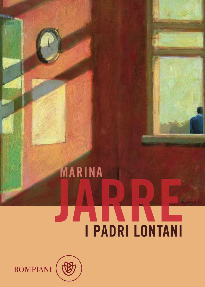# MARINA **SPARTING THE THEFT IN THE THEFT IS NOT THE THEFT IS NOT THE THE THEFT IS NOT THE THE THE THE THE THE THE THE T**



BOMPIANI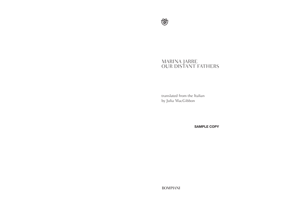

# MARINA JARRE OUR DISTANT FATHERS

translated from the Italian by Julia MacGibbon

**SAMPLE COPY**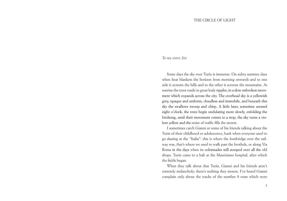#### THE CIRCLE OF LIGHT

## *To my sister, Sisi*

Some days the sky over Turin is immense. On sultry summer days when heat blankets the horizon from morning onwards and to one side it screens the hills and to the other it screens the mountains. At sunrise the trees rustle in great leafy ripples, in a slow unbroken movement which expands across the city. The overhead sky is a yellowish grey, opaque and uniform, cloudless and immobile, and beneath this sky the swallows swoop and chirp. A little later, sometime around eight o'clock, the trees begin undulating more slowly, enfolding the birdsong, until their movement comes to a stop, the sky turns a violent yellow and the noise of traffic fills the streets.

I sometimes catch Gianni or some of his friends talking about the Turin of their childhood or adolescence, back when everyone used to go skating at the "Italia": this is where the footbridge over the railway was, that's where we used to walk past the brothels, or along Via Roma in the days when its colonnades still stooped over all the old shops. Turin came to a halt at the Mauriziano hospital, after which the fields began.

When they talk about that Turin, Gianni and his friends aren't remotely melancholy; there's nothing they mourn. I've heard Gianni complain only about the tracks of the number 8 tram which were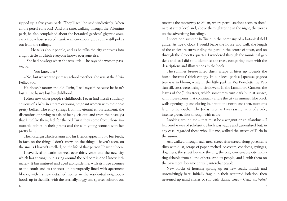ripped up a few years back. 'They'll see,' he said vindictively, 'when all the petrol runs out!' And one time, walking through the Valentino park, he also complained about the botanical gardens' gigantic araucaria tree whose severed trunk – an enormous grey ruin – still pokes out from the railings.

He talks about people, and as he talks the city contracts into a tight circle in which everyone knows everyone else.

– She had bowlegs when she was little, – he says of a woman passing by.

– You know her?

– No, but we went to primary school together; she was at the Silvio Pellico too.

He doesn't mourn the old Turin, I tell myself, because he hasn't lost it. He hasn't lost his childhood.

I often envy other people's childhoods. I even find myself suddenly envious of a baby in a pram or young pregnant women with their neat pretty bellies. The envy springs from my eternal embarrassment, the discomfort of having to ask, of being left out; and from the nostalgia that I, unlike them, feel for the old Turin they come from, those immutable babies in their prams and the slim young woman with her pretty belly.

The nostalgia which Gianni and his friends appear not to feel feeds, in fact, on the things I don't know, on the things I haven't seen, on the smells I haven't smelled, on the life of that person I haven't been.

I have lived in Turin for well over thirty years and the new city which has sprung up in a ring around the old core is one I know intimately. It has matured and aged alongside me, with its huge avenues to the south and to the west uninterruptedly lined with apartment blocks, with its new detached homes in the residential neighbourhoods up in the hills, with the eternally foggy and sparser suburbs out

towards the motorway to Milan, where petrol stations seem to dominate at street level and, above them, glittering in the night, the words on the advertising hoardings.

I spent one summer in Turin in the company of a botanical field guide. At five o'clock I would leave the house and walk the length of the enclosure surrounding the park in the centre of town, and on through the Crocetta quarter. I wandered through the municipal gardens and, as I did so, I identified the trees, comparing them with the descriptions and illustrations in the book.

The summer breeze lifted dusty scraps of litter up towards the horse chestnuts' thick canopy. In our local park a Japanese pagoda tree was in bloom, while in the little park in Via Bertoletti the Persian silk tress were losing their flowers. In the Lamamora Gardens the leaves of the Judas trees, which sometimes turn dark blue at sunset, with those storms that continually circle the city in summer, like black walls opening up and closing in, first to the north and then, moments later, to the south… The Judas trees, as I was saying, were of a pale, intense green, shot through with azure.

Looking around me – that must be a wingnut or an ailanthus – I felt brief waves of solidarity, which was vague and generalised but, in any case, regarded those who, like me, walked the streets of Turin in the summer.

As I walked through each area, street after street, along pavements dirty with dust, scraps of paper, melted ice-cream, condoms, syringes, dog mess, the street became the city, the only conceivable city, indistinguishable from all the others. And its people, and I, with them on the pavement, became entirely interchangeable.

New blocks of housing sprung up on new roads, muddy and unremittingly bare; initially fragile in their scattered isolation, then neatened up amid circles of soil with skinny trees – *Celtis australis*?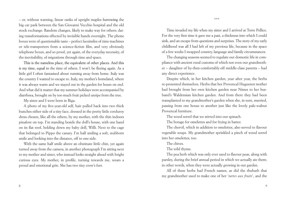– or, without warning, linear ranks of upright maples furrowing the big car park between the San Giovanni Vecchio hospital and the old stock exchange. Random changes, likely to make way for others; daring transformations effected by invisible hands overnight. The phone boxes were of questionable taste – perfect facsimiles of time machines or tele-transporters from a science-fiction film, and very obviously telephone boxes, and so proof, yet again, of the everyday necessity, of the inevitability, of migrations through time and space.

This is the nameless place, the equivalent of other places. And this is my time, equal to the time of others. I won't be fleeing again. As a little girl I often fantasised about running away from home. Italy was the country I wanted to escape to. Italy, my mother's homeland, where it was always warm and we stayed out in the garden for hours on end. And what did it matter that my summer holidays were accompanied by diarrhoea, brought on by too much fruit picked unripe from the tree.

My sister and I were born in Riga.

A photo of my five-year-old self, hair pulled back into two thick bunches either side of a tiny face, dressed in the pretty little corduroy dress chosen, like all the others, by my mother, with the thin indoors pinafore on top. I'm standing beside the doll's house, with one hand on its flat roof, holding down my baby doll, Willi. Next to the cage that belonged to Pippo the canary. I'm half smiling a soft, stubborn smile and looking into the distance, off to one side.

With the same half smile above an obstinate little chin, yet again turned away from the camera, in another photograph I'm sitting next to my mother and sister, who instead looks straight ahead with bright curious eyes. My mother, in profile, turning towards me, wears a proud and emotional grin. She has two tiny crow's feet.

Time invaded my life when my sister and I arrived at Torre Pellice. For the very first time it gave me a past, a thickness into which I could sink, and an escape from questions and surprises. The story of my early childhood was all I had left of my previous life, because in the space of a few weeks I swapped country, language and family circumstances.

The changing seasons seemed to regulate our domestic life in compliance with ancient rural customs of which not even our grandmother – daughter of by-then-comfortably-off middle-class parents – had any direct experience.

Despite which, in her kitchen garden, year after year, the herbs re-presented themselves. Herbs that her Provencal Huguenot mother had brought from her own kitchen garden near Nimes to her husband's Waldensian kitchen garden. And from there they had been transplanted to my grandmother's garden when she, in turn, married, passing from one house to another just like the lovely pale-walnut Provencal furniture.

The wood sorrel that we stirred into our spinach.

The borage for omelettes and for frying in batter.

The chervil, which in addition to omelettes, also served to flavour vegetable soups. My grandmother sprinkled a pinch of wood sorrel into her omelettes, too.

The chives.

The wild thyme.

The pea herb which was only ever used to flavour peas, along with parsley, during the brief annual period in which we actually ate them; in other words, when they were actually growing in our garden.

All of these herbs had French names, as did the rhubarb that my grandmother used to make one of her '*tartes aux fruits*', and the

\*\*\*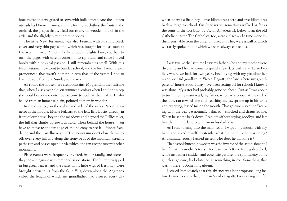horseradish that we grated to serve with boiled meat. And the kitchen utensils had French names, and the furniture, clothes, the fruits in the orchard, the grapes that we laid out to dry on wooden boards in the attic, and the slightly bitter chestnut honey.

The little New Testament was also French, with its shiny black cover and very thin pages, and which was bought for me as soon as I arrived in Torre Pellice. The little book delighted me; you had to turn the pages with care in order not to rip them, and since I loved books with a physical passion, I still remember its smell. With this New Testament we went to Sunday school, and the first French I ever pronounced that wasn't homespun was that of the verses I had to learn by rote from one Sunday to the next.

All round the house there are mountains. My grandmother tells me that, when I was a year old, on summer evenings when I couldn't sleep she would carry me onto the balcony to look at them. And I, who hailed from an immense plain, pointed at them in wonder.

In the distance, on the right-hand side of the valley, Monte Granero; in the middle, Monte Palavas; to the left, Bric Bucie; directly in front of our house, beyond the meadows and beyond the Pellice river, the hill that climbs up towards Rorà. Then behind the house – you have to move to the far edge of the balcony to see it – Monte Vandalino and the Castelluzzo spur. The mountains don't close the valley off: over every hill and along the stony beds of the mountain streams paths run and passes open up via which one can escape towards other mountains.

Place names were frequently invoked, in our family, and were – they too – pregnant with temporal associations. The butter, wrapped in big green leaves, and the *seiras*, in its little wigs of fresh hay, were brought down to us from the Sella Veja, down along the Angrogna valley, the length of which my grandfather had crossed every day when he was a little boy – five kilometres there and five kilometres back – to go to school. On Sundays we sometimes walked as far as the ruins of the fort built by Victor Amadeus II. Below it sat the old Catholic quarter. The Catholics, too, were a place and a time – one indistinguishable from the other. Implacably. They were a wall of which we rarely spoke, but of which we were always conscious.

I was twelve the last time I saw my father – he and my mother were divorcing and he had come to spend a few days with us at Torre Pellice, where we had, for two years, been living with my grandmother – and we said goodbye in Vicolo Dagotti, the lane where my grandparents' house stood. I may have been setting off for school; I know I was alone. My sister had probably gone on ahead. Just as I was about to turn into the main road, my father, who had stopped at the end of the lane, ran towards me and, reaching me, swept me up in his arms and, weeping, kissed me on the mouth. That gesture – so out of keeping with the way we normally behaved – shocked and disgusted me. When he set me back down, I ran off without saying goodbye and left him there in the lane, a tall man in his dark coat.

As I ran, turning into the main road, I wiped my mouth with my hand and asked myself insistently: what did he think he was doing? And simultaneously I asked myself: who does he think he is?

That astonishment, however, was the inverse of the astonishment I had felt at my mother's tears. Her tears had left me feeling detached, while my father's sudden and eccentric gesture, the spontaneity of his guileless gesture, had clutched at something in me. Something that wasn't there… Something absent.

I sensed immediately that this absence was inappropriate, long before I came to know that, there in Vicolo Dagotti, I was seeing him for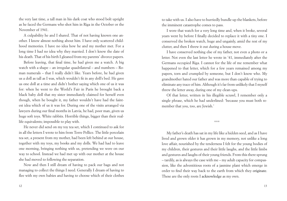the very last time, a tall man in his dark coat who stood bolt upright as he faced the Germans who shot him in Riga in the October or the November of 1941.

A culpability he and I shared. That of not having known one another. I know almost nothing about him. I have only scattered childhood memories. I have no idea how he and my mother met. For a long time I had no idea why they married. I don't know the date of his death. That of his birth I gleaned from my parents' divorce papers.

Before leaving, that final time, he had given me a watch. A big watch with a shape – an irregular quadrilateral – and numbers – Roman numerals – that I really didn't like. Years before, he had given us a doll as tall as I was, which wouldn't fit in any doll's bed. He gave us one doll at a time and didn't bother saying which one of us it was for: when he went to the World's Fair in Paris he brought back a black baby doll that my sister immediately claimed for herself even though, when he bought it, my father wouldn't have had the faintest idea which of us it was for. During one of the visits arranged via lawyers during our final months in Latvia, he had, poor man, given us huge soft toys. White rabbits. Horrible things, bigger than their reallife equivalents; impossible to play with.

He never did send on my toy tea set, which I continued to ask for in all the letters I wrote to him from Torre Pellice. The little porcelain tea set, a present from my mother, had been left behind at our house, together with my toys, my books and my dolls. We had had to leave one morning, bringing nothing with us, pretending we were on our way to school. Instead we had met up with our mother at the house she had moved to following the separation.

Now and then I still dream of having to pack our bags and not managing to collect the things I need. Generally I dream of having to flee with my own babies and having to choose which of their clothes to take with us. I also have to hurriedly bundle up the blankets, before the imminent catastrophe comes to pass.

I wore that watch for a very long time and, when it broke, several years went by before I finally decided to replace it with a tiny one. I conserved the broken watch, huge and ungainly, amid the rest of my clutter, and then I threw it out during a house move.

I have conserved nothing else of my father, not even a photo or a letter. Not even the last letter he wrote in '41, immediately after the Germans occupied Riga. I cannot for the life of me remember what happened to that letter, which for a few years remained among my papers, torn and crumpled by someone, but I don't know who. My grandmother hated our father and was more than capable of trying to eliminate any trace of him. Although it's far from unlikely that I myself threw the letter away, during one of my clean-ups.

Of that letter, written in his illegible scrawl, I remember only a single phrase, which he had underlined: 'because you must both remember that you, too, are Jewish.'

#### \*\*\*

My father's death has sat in my life like a hidden seed, and as I have lived and grown older it has grown in my memory, not unlike a long love affair, nourished by the tenderness I felt for the young bodies of my children, their gestures and their little laughs, and the little limbs and gestures and laughs of their young friends. From this there sprung – tardily, as is always the case with me – my adult capacity for compassion, like the adventitious roots of a jasmine plant which emerge in order to find their way back to the earth from which they originate. These are the only roots I acknowledge as my own.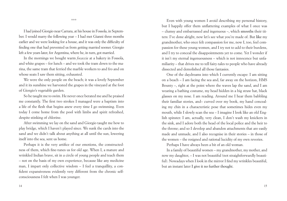\*\*\*

I had joined Giorgio near Carrara, at his house in Fossola, in September. I would marry the following year – I had met Gianni three months earlier and we were looking for a house, and it was only the difficulty of finding one that had prevented us from getting married sooner. Giorgio left a few years later, for Argentina, where he, in turn, got married.

In the mornings we bought warm *focaccia* at a bakery in Fossola, and white grapes – for lunch – and we took the tram down to the marina, the same tram that ferried the marble workers to and fro and on whose seats I saw them sitting, exhausted.

We were the only people on the beach; it was a lovely September and it its sunshine we harvested the grapes in the vineyard at the foot of Giorgio's vegetable garden.

So he taught me to swim. He never once berated me and he praised me constantly. The first two strokes I managed were a baptism into a life of the flesh that begins anew every time I go swimming. Even today I come home from the pool with limbs and spirit refreshed, despite stinking of chlorine.

After swimming we lay on the sand and Giorgio taught me how to play bridge, which I haven't played since. We sunk the cards into the sand and we didn't talk about anything at all until the sun, lowering itself into the sea, sent us home.

Perhaps it is the very artifice of our emotions, the constructedness of them, which fine-tunes us for old age. When I, a mature and wrinkled Indian brave, sit in a circle of young people and teach them – not on the basis of my own experience, because like any medicine man, I impart only collective wisdom – I feel a tranquillity, a confident expansiveness evidently very different from the chronic selfconsciousness I felt when I was younger.

Even with young women I avoid describing my personal history, but I happily offer them unflattering examples of what I once was – clumsy and embarrassed and ingenuous –, which smooths their titters: I've done alright, now let's see what you're made of. But like my grandmother, who once felt compassion for me, now I, too, feel compassion for these young women, and I try not to add to their burdens, and I try to conceal the disappointments yet to come. Yet I wonder if it isn't my eternal ingenuousness – which is not innocence but unfamiliarity – that drives me to tell fairy-tales to people who have already dissected and demolished all those fantasies.

One of the daydreams into which I currently escape: I am sitting on a beach – I am facing the sea and, far away on the horizon, HMS Bounty –, right at the point where the waves lap the sand, and I am wearing a bathing costume, my head hidden in a big straw hat, black glasses on my nose. I am reading. Around me I hear them babbling their familiar stories, and– curved over my book, my hand concealing my chin in a characteristic pose that sometimes hides even my mouth, while I slowly scan the sea – I imagine I look like an old English spinster. I am, actually, very clean, I don't wash my knickers in the sink, and I adore both the head of the local police and the heir to the throne; and so I develop and abandon attachments that are easily made and unmade, and I also recognise in their stories – in those of the women – the resigned and rational lucidity of my own reveries.

Perhaps I have always been a bit of an old woman.

In a family of beautiful women – my grandmother, my mother, and now my daughter, – I was not beautiful (not straightforwardly beautiful). Nowadays when I look in the mirror I find my wrinkles beautiful, but an instant later I give it no further thought.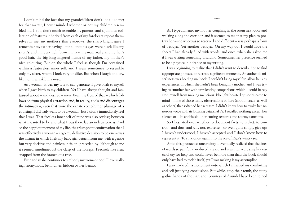I don't mind the fact that my grandchildren don't look like me; for that matter, I never minded whether or not my children resembled me. I, too, don't much resemble my parents, and a jumbled collection of features inherited from each of my forebears repeat themselves in me: my mother's thin eyebrows; the sharp bright gaze I remember my father having – for all that his eyes were black like my sister's, and mine are light brown. I have my maternal grandmother's good hair, the big long-fingered hands of my father, my mother's nice colouring. But on the whole I feel as though I'm contained within a featureless inner self, and I seem sometimes to resemble only my sister, whom I look very unalike. But when I laugh and cry, like her, I wrinkle my nose.

As a woman, it was my fate to self-generate; I gave birth to myself when I gave birth to my children. Yet I have always thought and fantasised about – and desired – men. Even the fruit of that – which follows on from physical attraction and, in reality, cools and discourages the intimacy –, even that wore the ornate come-hither plumage of a courting. I did truly want to be a woman, but I didn't immediately feel that I was. That faceless inner self of mine was also sexless; between what I wanted to be and what I was there lay an indecisiveness. And so the happiest moment of my life, the triumphant confirmation that I was effectively a woman – ergo my definitive decision to be one – was the instant in which I felt my baby girl detach from me, with a gentle but very decisive and painless incision, preceded by (although to me it seemed simultaneous) the clasp of the forceps. Precisely like fruit snapped from the branch of a tree.

Even today she continues to embody my womanhood; I love walking, anonymous, behind her, hidden by her beauty.

As I typed I heard my mother coughing in the room next door and walking along the corridor, and it seemed to me that my plan to portray her – she who was so reserved and diffident – was perhaps a form of betrayal. Yet another betrayal. On my way out I would hide the sheets I had already filled with words, and once, when she asked me if I was writing something, I said no. Sometimes her presence seemed to be a physical hindrance to my writing.

I was beginning to realise that I didn't want to describe her, to find appropriate phrases, to recreate significant moments. An authentic miserliness was holding me back. I couldn't bring myself to allow her any experiences in which she hadn't been being my mother, and I was trying to smother her with unrelenting comparisons which I could barely stop myself from making malicious. No light-hearted episodes came to mind – none of those funny observations of hers (about herself, as well as others) that softened her sarcasm. I didn't know how to evoke her sonorous voice with its buzzing catarrhal r's. I recalled nothing except her silence or – its antithesis – her cutting remarks and stormy tantrums.

So I hesitated over whether to document facts, to redact, to control – and thus, and why not, exorcise – or even quite simply give up: I haven't understood, I haven't accepted and I don't know how to represent it. To sink once again into the ice of Riga's wintry sea.

Amid this protracted uncertainty, I eventually realized that the lines of words so painfully produced, erased and rewritten were simply a visceral cry for help and could never be more than that; the book should only have had to tackle itself, yet I was making it my accomplice.

I also made of it a monument onto which I chiselled my comforting and self-justifying conclusions. But while, atop their tomb, the stony gothic hands of the Earl and Countess of Arundel have been joined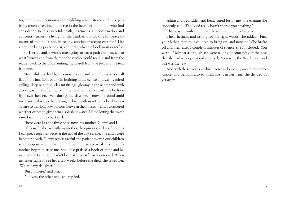together by an ingenious – and meddling – art restorer, and thus, perhaps, touch a sentimental nerve in the hearts of the public who find consolation in this peaceful death, it remains a reconstruction and concerns neither the living nor the dead. And is looking for peace by means of this book not, in reality, another misrepresentation? Life alone can bring peace or war, and that's what the book must describe.

So I wrote and rewrote, attempting to cut a path from myself to what I wrote and from there to those who would read it, and from the reader back to the book, untangling myself from the text and the text from me.

Meanwhile we had had to move house and were living in a small flat on the first floor of an old building in the centre of town – vaulted ceiling, deep windows, elegant fittings, gloomy in the winter and with a courtyard that often stank in the summer. I wrote with the bedside light switched on, even during the daytime. I moved around amid my plants, which we had brought down with us – from a bright open square to this long low balcony between the houses –, and I wondered whether or not to give them a splash of water. I liked letting the water rain down into the courtyard.

There were just the three of us now: my mother, Gianni and I.

Of those final years with my mother, the episodes and brief periods I can piece together were, at the end of the day, serene. She and I were in better health, Gianni was as tactful and patient as ever, our children were supportive and caring; little by little, as age weakened her, my mother began to trust me. She once praised a book of mine and lamented the fact that it hadn't been as successful as it deserved. When my sister came to see her a few weeks before she died, she asked her, 'Where's my daughter?'

'But I'm here,' said Sisi.

'Not you, the other one,' she replied.

Ailing and bedridden and being cared for by me, one evening she suddenly said, 'The Lord really hasn't spared you anything.'

That was the only time I ever heard her utter God's name.

Then, hesitant and fishing for the right words, she added, 'First your father, then four children to bring up, and now me.' She broke off and then, after a couple of minutes of silence, she concluded, 'You were…' (almost as though she were talking of something in the past that she had never previously noticed). 'You were the Waldensian and Sisi was the Jew.'

And with these words – which were undoubtedly meant to 'do me justice' and perhaps also to thank me –, in her heart she divided us yet again.